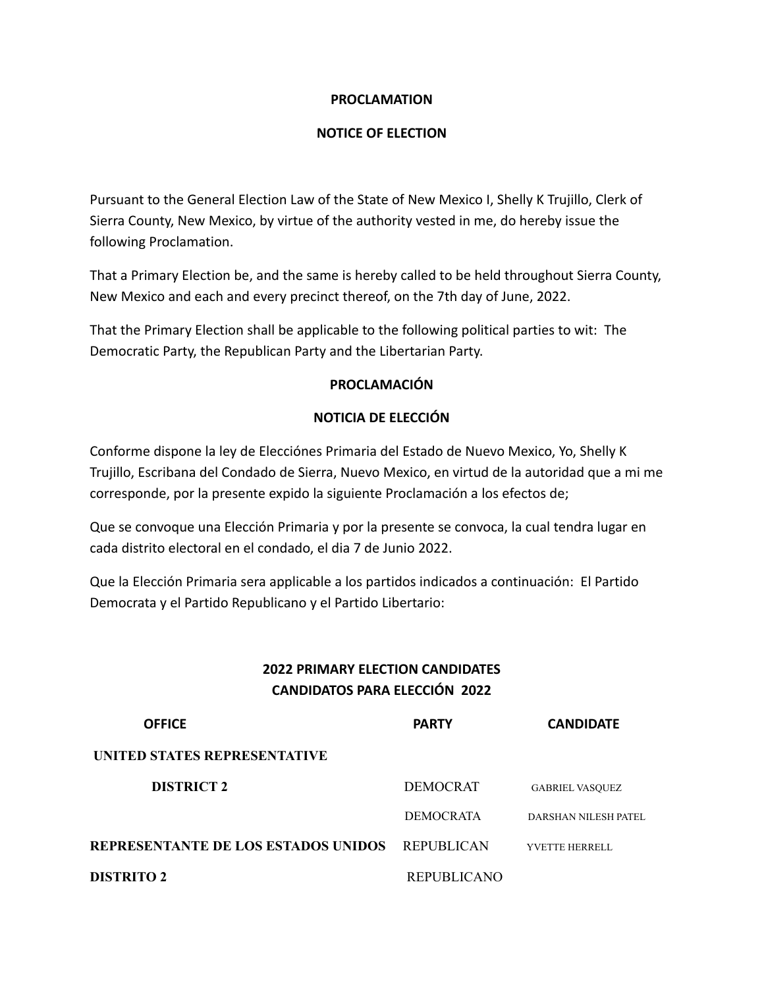#### **PROCLAMATION**

#### **NOTICE OF ELECTION**

Pursuant to the General Election Law of the State of New Mexico I, Shelly K Trujillo, Clerk of Sierra County, New Mexico, by virtue of the authority vested in me, do hereby issue the following Proclamation.

That a Primary Election be, and the same is hereby called to be held throughout Sierra County, New Mexico and each and every precinct thereof, on the 7th day of June, 2022.

That the Primary Election shall be applicable to the following political parties to wit: The Democratic Party, the Republican Party and the Libertarian Party.

#### **PROCLAMACIÓN**

#### **NOTICIA DE ELECCIÓN**

Conforme dispone la ley de Elecciónes Primaria del Estado de Nuevo Mexico, Yo, Shelly K Trujillo, Escribana del Condado de Sierra, Nuevo Mexico, en virtud de la autoridad que a mi me corresponde, por la presente expido la siguiente Proclamación a los efectos de;

Que se convoque una Elección Primaria y por la presente se convoca, la cual tendra lugar en cada distrito electoral en el condado, el dia 7 de Junio 2022.

Que la Elección Primaria sera applicable a los partidos indicados a continuación: El Partido Democrata y el Partido Republicano y el Partido Libertario:

### **2022 PRIMARY ELECTION CANDIDATES CANDIDATOS PARA ELECCIÓN 2022**

| <b>OFFICE</b>                              | <b>PARTY</b>       | <b>CANDIDATE</b>            |
|--------------------------------------------|--------------------|-----------------------------|
| UNITED STATES REPRESENTATIVE               |                    |                             |
| <b>DISTRICT 2</b>                          | <b>DEMOCRAT</b>    | <b>GABRIEL VASOUEZ</b>      |
|                                            | <b>DEMOCRATA</b>   | <b>DARSHAN NILESH PATEL</b> |
| <b>REPRESENTANTE DE LOS ESTADOS UNIDOS</b> | REPUBLICAN         | <b>YVETTE HERRELL</b>       |
| <b>DISTRITO 2</b>                          | <b>REPUBLICANO</b> |                             |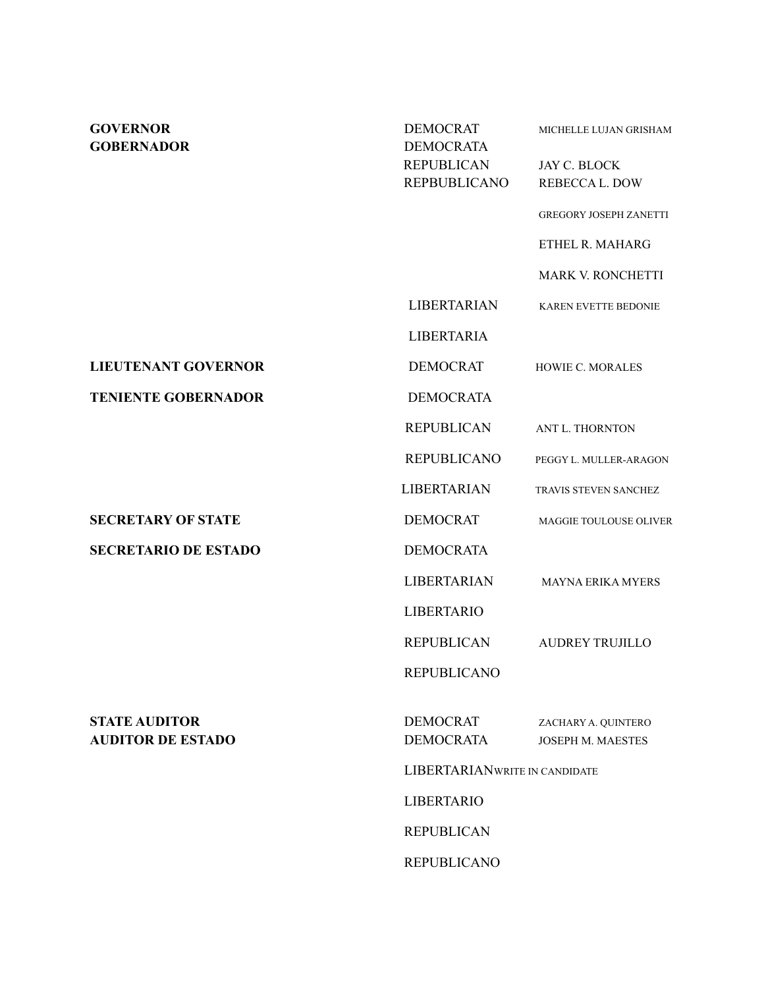| <b>GOVERNOR</b><br><b>GOBERNADOR</b>             | <b>DEMOCRAT</b><br><b>DEMOCRATA</b>      | MICHELLE LUJAN GRISHAM                   |  |
|--------------------------------------------------|------------------------------------------|------------------------------------------|--|
|                                                  | <b>REPUBLICAN</b><br><b>REPBUBLICANO</b> | JAY C. BLOCK<br><b>REBECCAL. DOW</b>     |  |
|                                                  |                                          | <b>GREGORY JOSEPH ZANETTI</b>            |  |
|                                                  |                                          | ETHEL R. MAHARG                          |  |
|                                                  |                                          | MARK V. RONCHETTI                        |  |
|                                                  | <b>LIBERTARIAN</b>                       | <b>KAREN EVETTE BEDONIE</b>              |  |
|                                                  | <b>LIBERTARIA</b>                        |                                          |  |
| <b>LIEUTENANT GOVERNOR</b>                       | <b>DEMOCRAT</b>                          | HOWIE C. MORALES                         |  |
| <b>TENIENTE GOBERNADOR</b>                       | <b>DEMOCRATA</b>                         |                                          |  |
|                                                  | <b>REPUBLICAN</b>                        | ANT L. THORNTON                          |  |
|                                                  | <b>REPUBLICANO</b>                       | PEGGY L. MULLER-ARAGON                   |  |
|                                                  | <b>LIBERTARIAN</b>                       | TRAVIS STEVEN SANCHEZ                    |  |
| <b>SECRETARY OF STATE</b>                        | <b>DEMOCRAT</b>                          | MAGGIE TOULOUSE OLIVER                   |  |
| <b>SECRETARIO DE ESTADO</b>                      | <b>DEMOCRATA</b>                         |                                          |  |
|                                                  | <b>LIBERTARIAN</b>                       | <b>MAYNA ERIKA MYERS</b>                 |  |
|                                                  | <b>LIBERTARIO</b>                        |                                          |  |
|                                                  | <b>REPUBLICAN</b>                        | <b>AUDREY TRUJILLO</b>                   |  |
|                                                  | <b>REPUBLICANO</b>                       |                                          |  |
| <b>STATE AUDITOR</b><br><b>AUDITOR DE ESTADO</b> | <b>DEMOCRAT</b><br><b>DEMOCRATA</b>      | ZACHARY A. QUINTERO<br>JOSEPH M. MAESTES |  |
|                                                  |                                          | LIBERTARIANWRITE IN CANDIDATE            |  |
|                                                  | <b>LIBERTARIO</b>                        |                                          |  |
|                                                  | <b>REPUBLICAN</b>                        |                                          |  |
|                                                  | <b>REPUBLICANO</b>                       |                                          |  |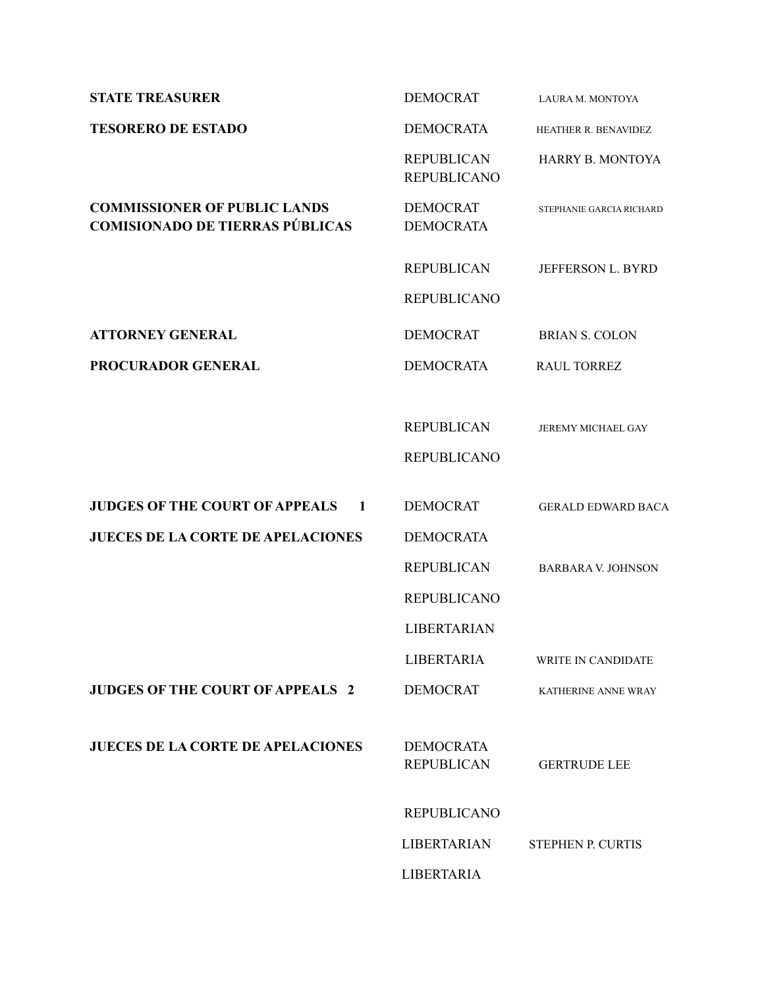| <b>STATE TREASURER</b>                                                        | <b>DEMOCRAT</b>                         | LAURA M. MONTOYA          |
|-------------------------------------------------------------------------------|-----------------------------------------|---------------------------|
| <b>TESORERO DE ESTADO</b>                                                     | <b>DEMOCRATA</b>                        | HEATHER R. BENAVIDEZ      |
|                                                                               | <b>REPUBLICAN</b><br><b>REPUBLICANO</b> | <b>HARRY B. MONTOYA</b>   |
| <b>COMMISSIONER OF PUBLIC LANDS</b><br><b>COMISIONADO DE TIERRAS PÚBLICAS</b> | <b>DEMOCRAT</b><br><b>DEMOCRATA</b>     | STEPHANIE GARCIA RICHARD  |
|                                                                               | <b>REPUBLICAN</b>                       | JEFFERSON L. BYRD         |
|                                                                               | <b>REPUBLICANO</b>                      |                           |
| <b>ATTORNEY GENERAL</b>                                                       | <b>DEMOCRAT</b>                         | <b>BRIAN S. COLON</b>     |
| PROCURADOR GENERAL                                                            | <b>DEMOCRATA</b>                        | <b>RAUL TORREZ</b>        |
|                                                                               |                                         |                           |
|                                                                               | <b>REPUBLICAN</b>                       | <b>JEREMY MICHAEL GAY</b> |
|                                                                               | <b>REPUBLICANO</b>                      |                           |
| <b>JUDGES OF THE COURT OF APPEALS</b><br>$\mathbf{1}$                         | <b>DEMOCRAT</b>                         | <b>GERALD EDWARD BACA</b> |
|                                                                               |                                         |                           |
| <b>JUECES DE LA CORTE DE APELACIONES</b>                                      | <b>DEMOCRATA</b>                        |                           |
|                                                                               | <b>REPUBLICAN</b>                       | <b>BARBARA V. JOHNSON</b> |
|                                                                               | <b>REPUBLICANO</b>                      |                           |
|                                                                               | <b>LIBERTARIAN</b>                      |                           |
|                                                                               | <b>LIBERTARIA</b>                       | <b>WRITE IN CANDIDATE</b> |
| <b>JUDGES OF THE COURT OF APPEALS 2</b>                                       | <b>DEMOCRAT</b>                         | KATHERINE ANNE WRAY       |
| <b>JUECES DE LA CORTE DE APELACIONES</b>                                      | <b>DEMOCRATA</b><br><b>REPUBLICAN</b>   | <b>GERTRUDE LEE</b>       |
|                                                                               | <b>REPUBLICANO</b>                      |                           |
|                                                                               | <b>LIBERTARIAN</b>                      | <b>STEPHEN P. CURTIS</b>  |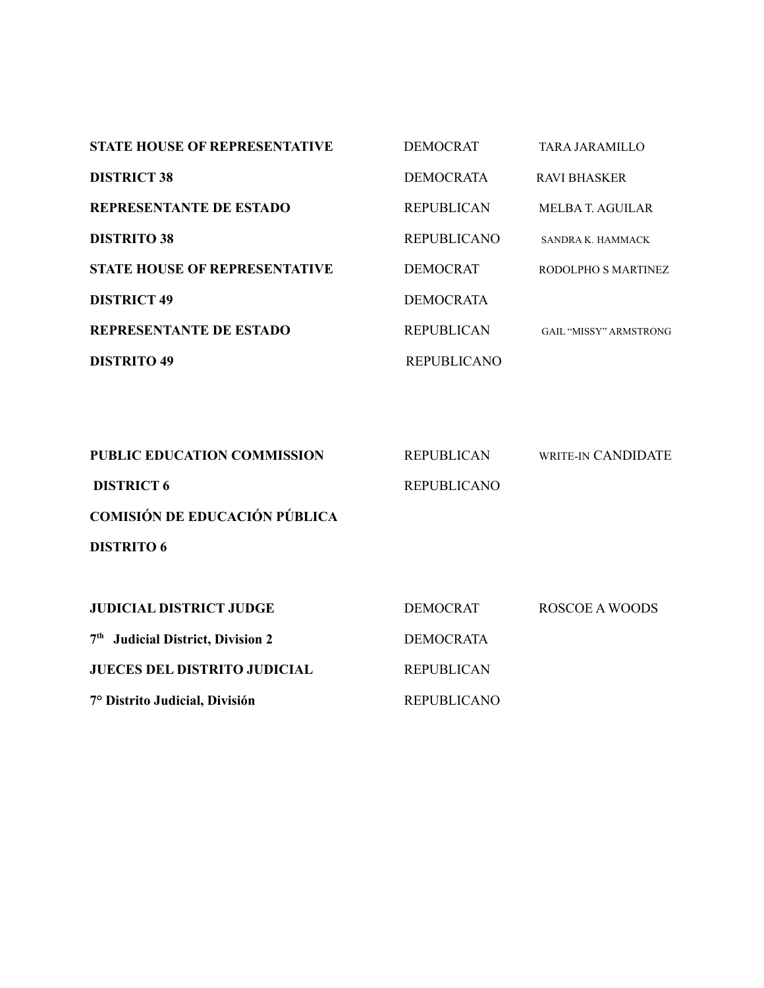| <b>STATE HOUSE OF REPRESENTATIVE</b> | <b>DEMOCRAT</b>    | TARA JARAMILLO                |
|--------------------------------------|--------------------|-------------------------------|
| <b>DISTRICT 38</b>                   | <b>DEMOCRATA</b>   | <b>RAVI BHASKER</b>           |
| <b>REPRESENTANTE DE ESTADO</b>       | <b>REPUBLICAN</b>  | MELBA T. AGUILAR              |
| <b>DISTRITO 38</b>                   | <b>REPUBLICANO</b> | SANDRA K. HAMMACK             |
| <b>STATE HOUSE OF REPRESENTATIVE</b> | DEMOCRAT           | RODOLPHO S MARTINEZ           |
| <b>DISTRICT 49</b>                   | DEMOCRATA          |                               |
| <b>REPRESENTANTE DE ESTADO</b>       | <b>REPUBLICAN</b>  | <b>GAIL "MISSY" ARMSTRONG</b> |
| <b>DISTRITO 49</b>                   | <b>REPUBLICANO</b> |                               |

| <b>PUBLIC EDUCATION COMMISSION</b>            | <b>REPUBLICAN</b>  | WRITE-IN CANDIDATE |
|-----------------------------------------------|--------------------|--------------------|
| <b>DISTRICT 6</b>                             | <b>REPUBLICANO</b> |                    |
| <b>COMISIÓN DE EDUCACIÓN PÚBLICA</b>          |                    |                    |
| <b>DISTRITO 6</b>                             |                    |                    |
|                                               |                    |                    |
| <b>JUDICIAL DISTRICT JUDGE</b>                | <b>DEMOCRAT</b>    | ROSCOE A WOODS     |
| 7 <sup>th</sup> Judicial District, Division 2 | <b>DEMOCRATA</b>   |                    |
| <b>JUECES DEL DISTRITO JUDICIAL</b>           | <b>REPUBLICAN</b>  |                    |
| 7° Distrito Judicial, División                | <b>REPUBLICANO</b> |                    |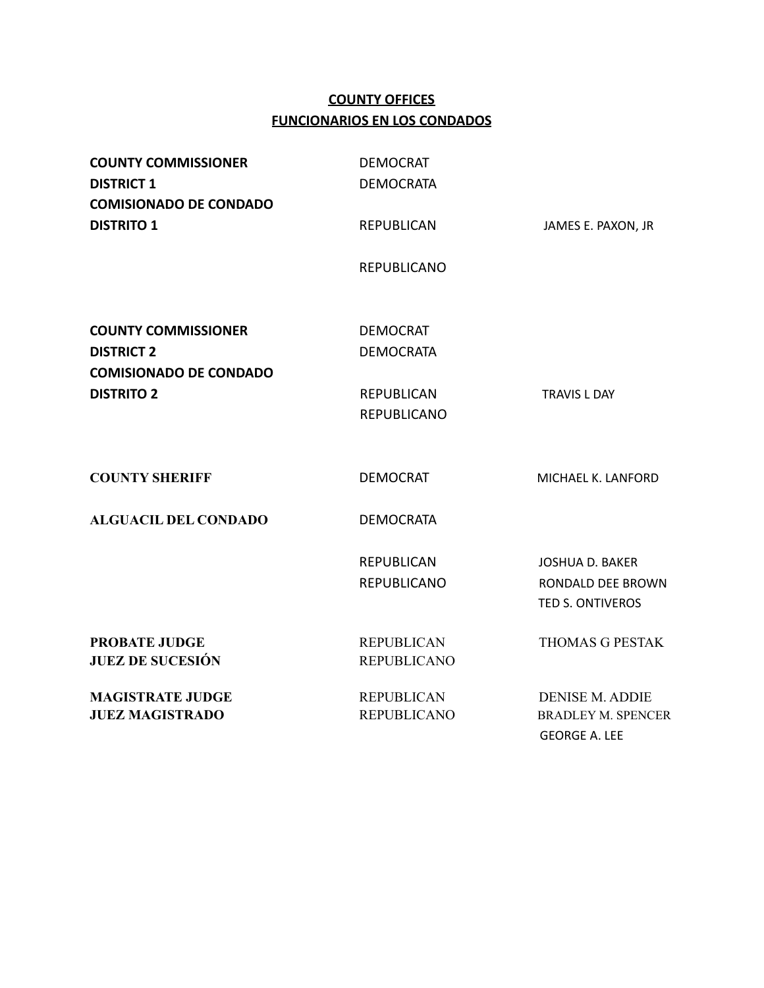## **COUNTY OFFICES FUNCIONARIOS EN LOS CONDADOS**

| <b>COUNTY COMMISSIONER</b><br><b>DISTRICT 1</b><br><b>COMISIONADO DE CONDADO</b> | <b>DEMOCRAT</b><br><b>DEMOCRATA</b>     |                                                                             |
|----------------------------------------------------------------------------------|-----------------------------------------|-----------------------------------------------------------------------------|
| <b>DISTRITO 1</b>                                                                | <b>REPUBLICAN</b>                       | JAMES E. PAXON, JR                                                          |
|                                                                                  | <b>REPUBLICANO</b>                      |                                                                             |
| <b>COUNTY COMMISSIONER</b><br><b>DISTRICT 2</b>                                  | <b>DEMOCRAT</b><br><b>DEMOCRATA</b>     |                                                                             |
| <b>COMISIONADO DE CONDADO</b>                                                    |                                         |                                                                             |
| <b>DISTRITO 2</b>                                                                | <b>REPUBLICAN</b><br><b>REPUBLICANO</b> | <b>TRAVIS L DAY</b>                                                         |
| <b>COUNTY SHERIFF</b>                                                            | <b>DEMOCRAT</b>                         | MICHAEL K. LANFORD                                                          |
| <b>ALGUACIL DEL CONDADO</b>                                                      | <b>DEMOCRATA</b>                        |                                                                             |
|                                                                                  | <b>REPUBLICAN</b><br><b>REPUBLICANO</b> | <b>JOSHUA D. BAKER</b><br>RONDALD DEE BROWN<br>TED S. ONTIVEROS             |
| <b>PROBATE JUDGE</b><br><b>JUEZ DE SUCESIÓN</b>                                  | <b>REPUBLICAN</b><br><b>REPUBLICANO</b> | <b>THOMAS G PESTAK</b>                                                      |
| <b>MAGISTRATE JUDGE</b><br><b>JUEZ MAGISTRADO</b>                                | <b>REPUBLICAN</b><br><b>REPUBLICANO</b> | <b>DENISE M. ADDIE</b><br><b>BRADLEY M. SPENCER</b><br><b>GEORGE A. LEE</b> |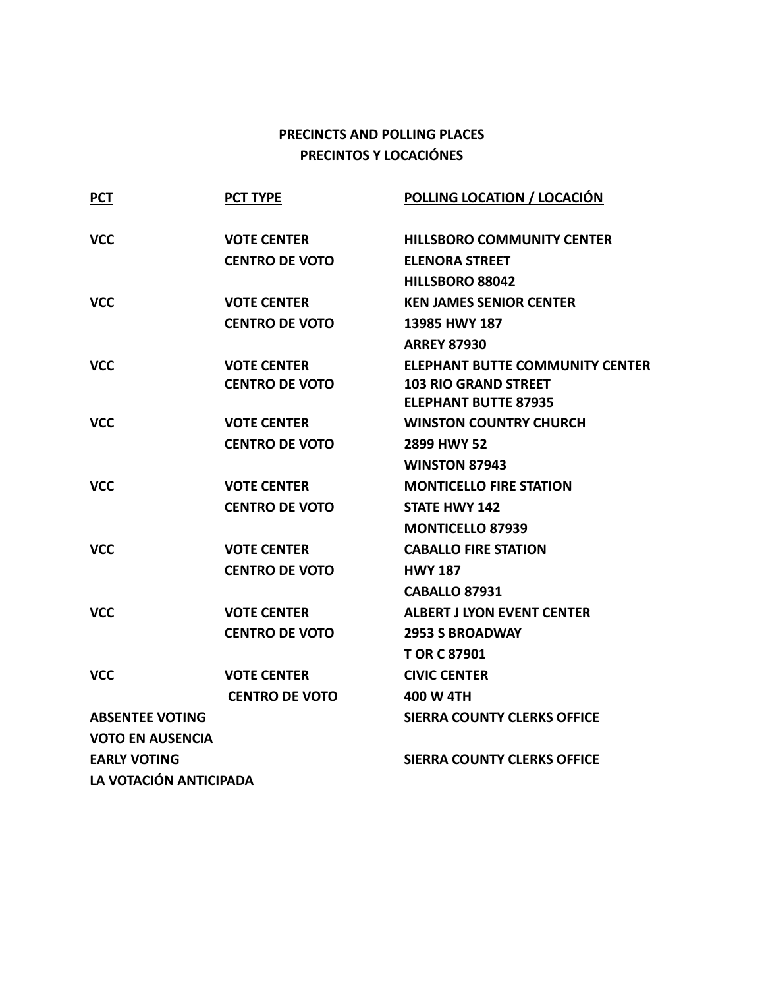## **PRECINCTS AND POLLING PLACES PRECINTOS Y LOCACIÓNES**

| <b>PCT</b>              | <b>PCT TYPE</b>       | <b>POLLING LOCATION / LOCACIÓN</b>     |
|-------------------------|-----------------------|----------------------------------------|
| <b>VCC</b>              | <b>VOTE CENTER</b>    | <b>HILLSBORO COMMUNITY CENTER</b>      |
|                         | <b>CENTRO DE VOTO</b> | <b>ELENORA STREET</b>                  |
|                         |                       | HILLSBORO 88042                        |
| <b>VCC</b>              | <b>VOTE CENTER</b>    | <b>KEN JAMES SENIOR CENTER</b>         |
|                         | <b>CENTRO DE VOTO</b> | 13985 HWY 187                          |
|                         |                       | <b>ARREY 87930</b>                     |
| <b>VCC</b>              | <b>VOTE CENTER</b>    | <b>ELEPHANT BUTTE COMMUNITY CENTER</b> |
|                         | <b>CENTRO DE VOTO</b> | <b>103 RIO GRAND STREET</b>            |
|                         |                       | <b>ELEPHANT BUTTE 87935</b>            |
| <b>VCC</b>              | <b>VOTE CENTER</b>    | <b>WINSTON COUNTRY CHURCH</b>          |
|                         | <b>CENTRO DE VOTO</b> | 2899 HWY 52                            |
|                         |                       | <b>WINSTON 87943</b>                   |
| <b>VCC</b>              | <b>VOTE CENTER</b>    | <b>MONTICELLO FIRE STATION</b>         |
|                         | <b>CENTRO DE VOTO</b> | <b>STATE HWY 142</b>                   |
|                         |                       | <b>MONTICELLO 87939</b>                |
| <b>VCC</b>              | <b>VOTE CENTER</b>    | <b>CABALLO FIRE STATION</b>            |
|                         | <b>CENTRO DE VOTO</b> | <b>HWY 187</b>                         |
|                         |                       | <b>CABALLO 87931</b>                   |
| <b>VCC</b>              | <b>VOTE CENTER</b>    | <b>ALBERT J LYON EVENT CENTER</b>      |
|                         | <b>CENTRO DE VOTO</b> | <b>2953 S BROADWAY</b>                 |
|                         |                       | <b>TOR C 87901</b>                     |
| <b>VCC</b>              | <b>VOTE CENTER</b>    | <b>CIVIC CENTER</b>                    |
|                         | <b>CENTRO DE VOTO</b> | 400 W 4TH                              |
| <b>ABSENTEE VOTING</b>  |                       | <b>SIERRA COUNTY CLERKS OFFICE</b>     |
| <b>VOTO EN AUSENCIA</b> |                       |                                        |
| <b>EARLY VOTING</b>     |                       | <b>SIERRA COUNTY CLERKS OFFICE</b>     |
| LA VOTACIÓN ANTICIPADA  |                       |                                        |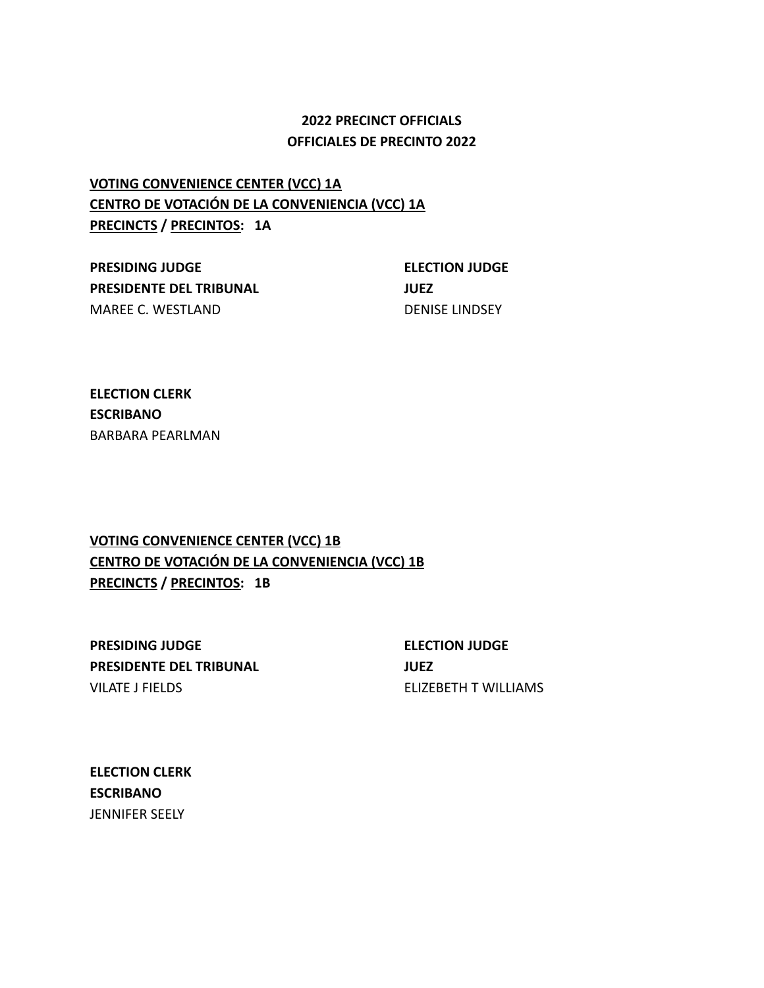### **2022 PRECINCT OFFICIALS OFFICIALES DE PRECINTO 2022**

# **VOTING CONVENIENCE CENTER (VCC) 1A CENTRO DE VOTACIÓN DE LA CONVENIENCIA (VCC) 1A PRECINCTS / PRECINTOS: 1A**

**PRESIDING JUDGE ELECTION JUDGE PRESIDENTE DEL TRIBUNAL JUEZ** MAREE C. WESTLAND DENISE LINDSEY

**ELECTION CLERK ESCRIBANO** BARBARA PEARLMAN

## **VOTING CONVENIENCE CENTER (VCC) 1B CENTRO DE VOTACIÓN DE LA CONVENIENCIA (VCC) 1B PRECINCTS / PRECINTOS: 1B**

**PRESIDING JUDGE ELECTION JUDGE PRESIDENTE DEL TRIBUNAL JUEZ** VILATE J FIELDS ELIZEBETH T WILLIAMS

**ELECTION CLERK ESCRIBANO** JENNIFER SEELY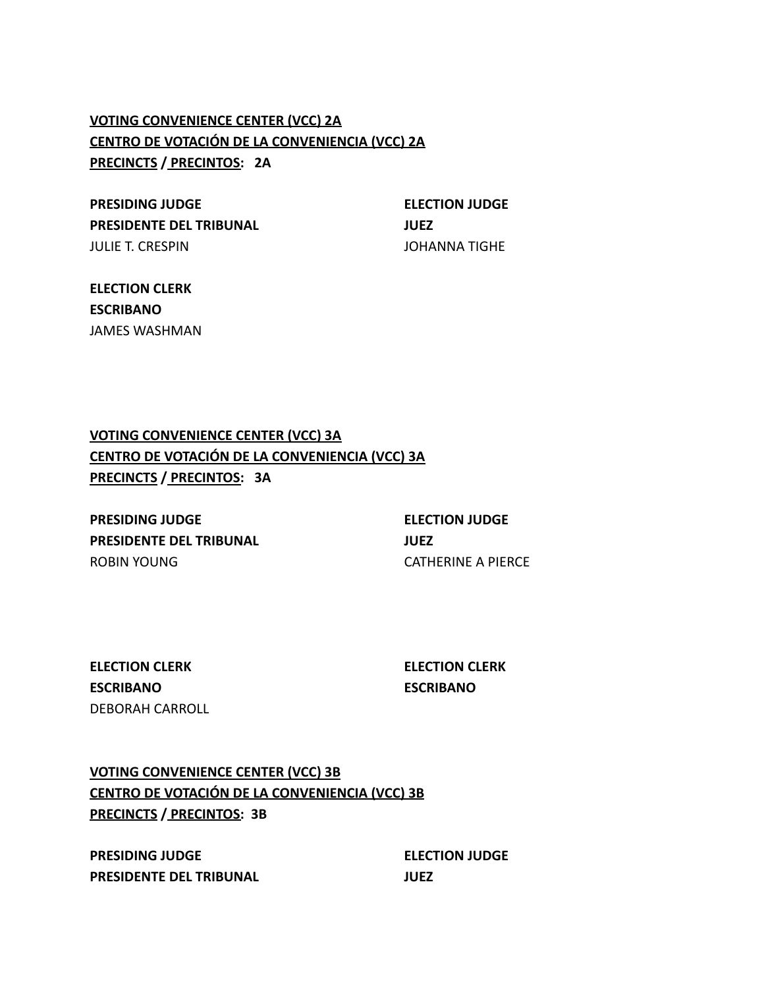# **VOTING CONVENIENCE CENTER (VCC) 2A CENTRO DE VOTACIÓN DE LA CONVENIENCIA (VCC) 2A PRECINCTS / PRECINTOS: 2A**

**PRESIDING JUDGE ELECTION JUDGE PRESIDENTE DEL TRIBUNAL JUEZ** JULIE T. CRESPIN JOHANNA TIGHE

**ELECTION CLERK ESCRIBANO** JAMES WASHMAN

**VOTING CONVENIENCE CENTER (VCC) 3A CENTRO DE VOTACIÓN DE LA CONVENIENCIA (VCC) 3A PRECINCTS / PRECINTOS: 3A**

**PRESIDING JUDGE ELECTION JUDGE PRESIDENTE DEL TRIBUNAL JUEZ** ROBIN YOUNG CATHERINE A PIERCE

**ELECTION CLERK ELECTION CLERK ESCRIBANO ESCRIBANO** DEBORAH CARROLL

**VOTING CONVENIENCE CENTER (VCC) 3B CENTRO DE VOTACIÓN DE LA CONVENIENCIA (VCC) 3B PRECINCTS / PRECINTOS: 3B**

**PRESIDING JUDGE ELECTION JUDGE PRESIDENTE DEL TRIBUNAL JUEZ**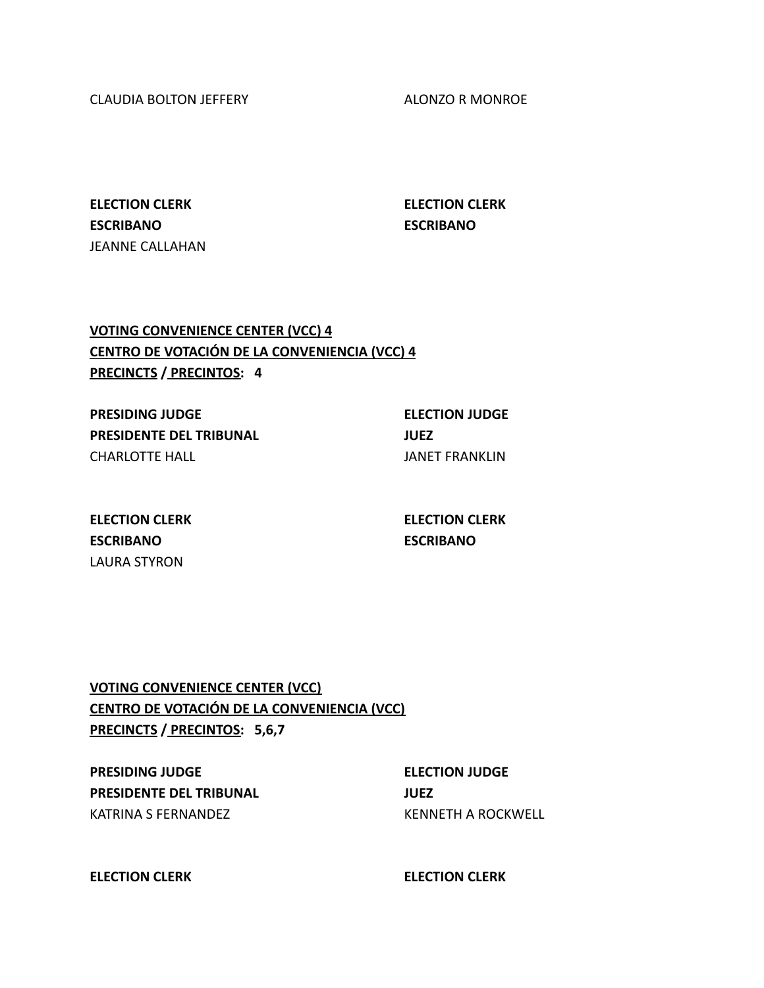CLAUDIA BOLTON JEFFERY ALONZO R MONROE

**ELECTION CLERK ELECTION CLERK ESCRIBANO ESCRIBANO** JEANNE CALLAHAN

## **VOTING CONVENIENCE CENTER (VCC) 4 CENTRO DE VOTACIÓN DE LA CONVENIENCIA (VCC) 4 PRECINCTS / PRECINTOS: 4**

**PRESIDING JUDGE ELECTION JUDGE PRESIDENTE DEL TRIBUNAL JUEZ** CHARLOTTE HALL **GET AN ALL CHARLOTTE** HALL

**ELECTION CLERK ELECTION CLERK ESCRIBANO ESCRIBANO** LAURA STYRON

**VOTING CONVENIENCE CENTER (VCC) CENTRO DE VOTACIÓN DE LA CONVENIENCIA (VCC) PRECINCTS / PRECINTOS: 5,6,7**

**PRESIDING JUDGE ELECTION JUDGE PRESIDENTE DEL TRIBUNAL JUEZ** KATRINA S FERNANDEZ KENNETH A ROCKWELL

**ELECTION CLERK ELECTION CLERK**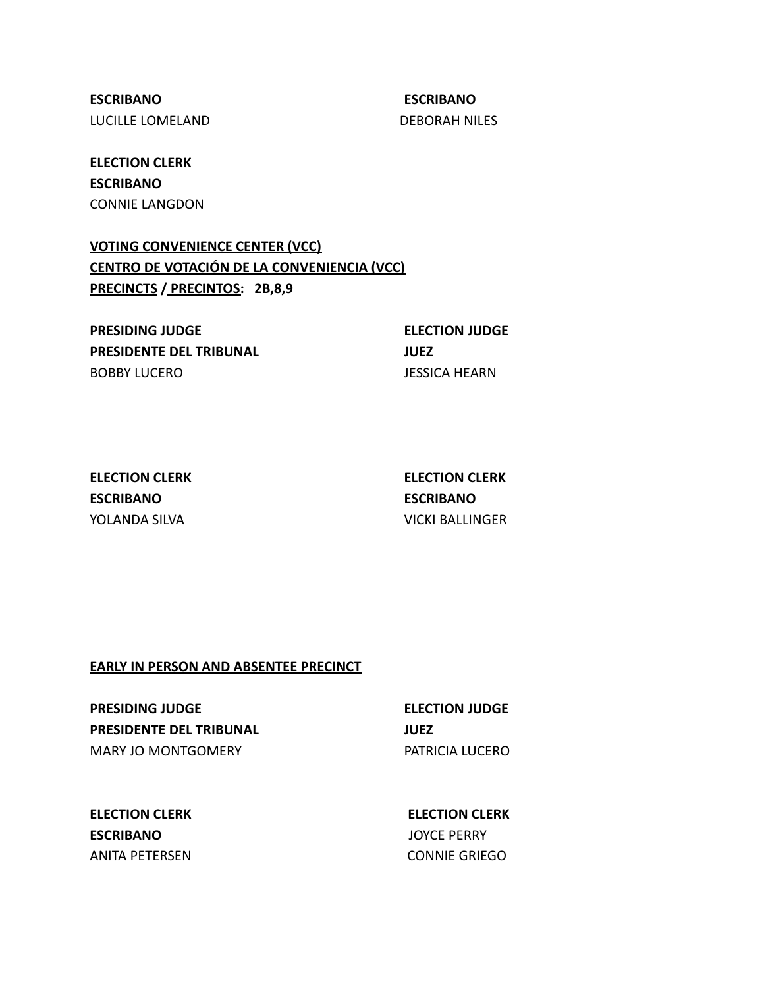**ESCRIBANO ESCRIBANO** LUCILLE LOMELAND DEBORAH NILES

**ELECTION CLERK ESCRIBANO** CONNIE LANGDON

**VOTING CONVENIENCE CENTER (VCC) CENTRO DE VOTACIÓN DE LA CONVENIENCIA (VCC) PRECINCTS / PRECINTOS: 2B,8,9**

**PRESIDING JUDGE ELECTION JUDGE PRESIDENTE DEL TRIBUNAL JUEZ** BOBBY LUCERO JESSICA HEARN

**ESCRIBANO ESCRIBANO**

**ELECTION CLERK ELECTION CLERK** YOLANDA SILVA VICKI BALLINGER

#### **EARLY IN PERSON AND ABSENTEE PRECINCT**

**PRESIDING JUDGE ELECTION JUDGE PRESIDENTE DEL TRIBUNAL JUEZ** MARY JO MONTGOMERY **EXAMPLE A TABLE 1988 PATRICIA LUCERO** 

**ELECTION CLERK ELECTION CLERK ESCRIBANO** JOYCE PERRY ANITA PETERSEN CONNIE GRIEGO